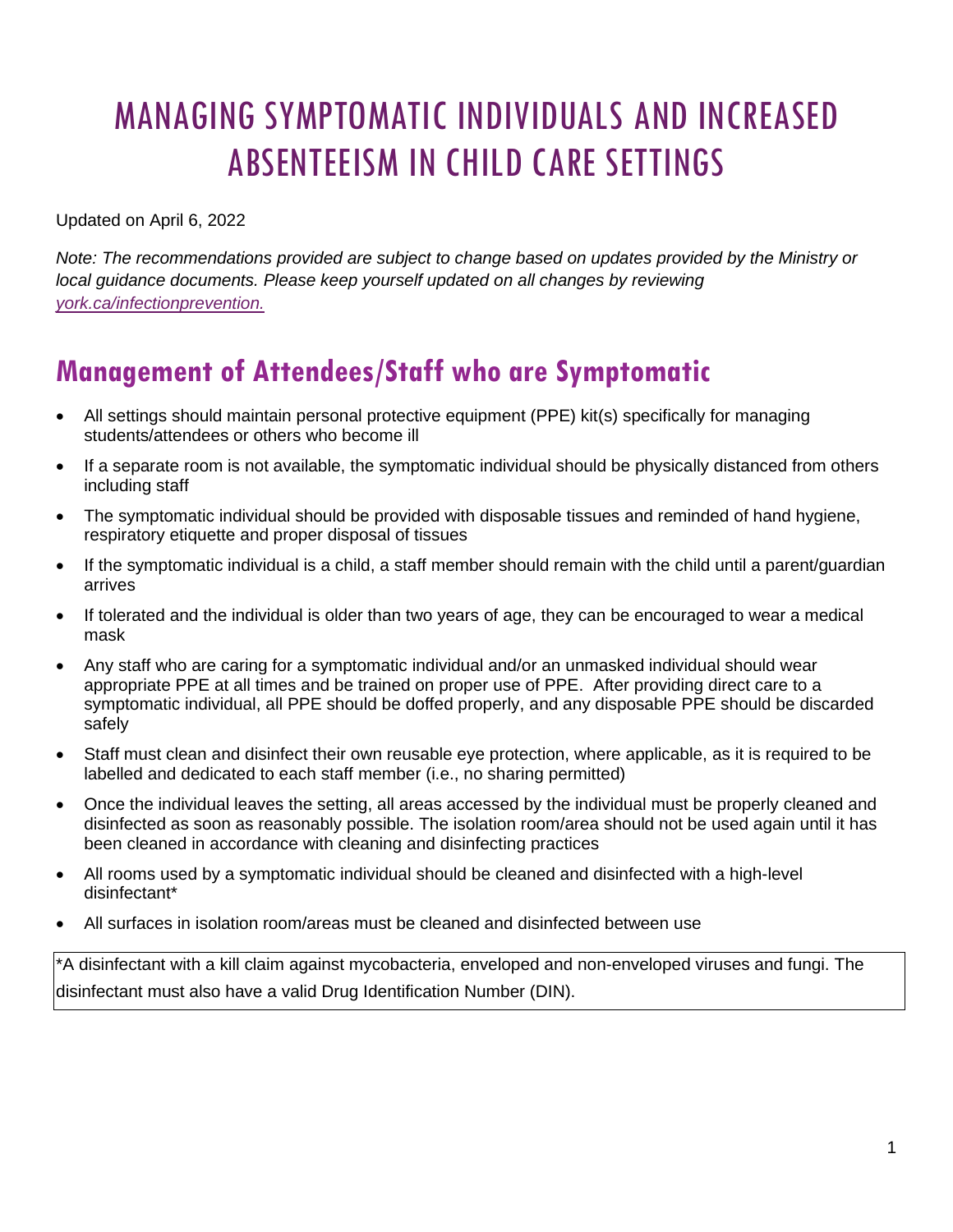# MANAGING SYMPTOMATIC INDIVIDUALS AND INCREASED ABSENTEEISM IN CHILD CARE SETTINGS

Updated on April 6, 2022

*Note: The recommendations provided are subject to change based on updates provided by the Ministry or local guidance documents. Please keep yourself updated on all changes by reviewing [york.ca/infectionprevention.](https://www.york.ca/health/infectious-diseases-and-prevention)*

## **Management of Attendees/Staff who are Symptomatic**

- All settings should maintain personal protective equipment (PPE) kit(s) specifically for managing students/attendees or others who become ill
- If a separate room is not available, the symptomatic individual should be physically distanced from others including staff
- The symptomatic individual should be provided with disposable tissues and reminded of hand hygiene, respiratory etiquette and proper disposal of tissues
- If the symptomatic individual is a child, a staff member should remain with the child until a parent/guardian arrives
- If tolerated and the individual is older than two years of age, they can be encouraged to wear a medical mask
- Any staff who are caring for a symptomatic individual and/or an unmasked individual should wear appropriate PPE at all times and be trained on proper use of PPE. After providing direct care to a symptomatic individual, all PPE should be doffed properly, and any disposable PPE should be discarded safely
- Staff must clean and disinfect their own reusable eye protection, where applicable, as it is required to be labelled and dedicated to each staff member (i.e., no sharing permitted)
- Once the individual leaves the setting, all areas accessed by the individual must be properly cleaned and disinfected as soon as reasonably possible. The isolation room/area should not be used again until it has been cleaned in accordance with cleaning and disinfecting practices
- All rooms used by a symptomatic individual should be cleaned and disinfected with a high-level disinfectant\*
- All surfaces in isolation room/areas must be cleaned and disinfected between use

\*A disinfectant with a kill claim against mycobacteria, enveloped and non-enveloped viruses and fungi. The disinfectant must also have a valid Drug Identification Number (DIN).